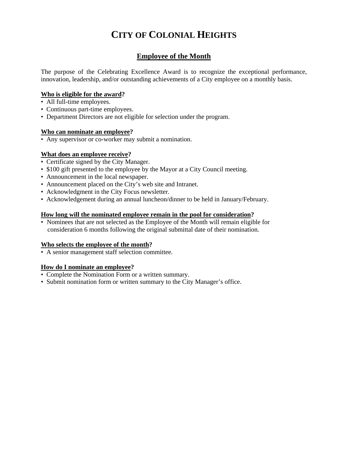# **CITY OF COLONIAL HEIGHTS**

### **Employee of the Month**

The purpose of the Celebrating Excellence Award is to recognize the exceptional performance, innovation, leadership, and/or outstanding achievements of a City employee on a monthly basis.

#### **Who is eligible for the award?**

- All full-time employees.
- Continuous part-time employees.
- Department Directors are not eligible for selection under the program.

#### **Who can nominate an employee?**

• Any supervisor or co-worker may submit a nomination.

#### **What does an employee receive?**

- Certificate signed by the City Manager.
- \$100 gift presented to the employee by the Mayor at a City Council meeting.
- Announcement in the local newspaper.
- Announcement placed on the City's web site and Intranet.
- Acknowledgment in the City Focus newsletter.
- Acknowledgement during an annual luncheon/dinner to be held in January/February.

#### **How long will the nominated employee remain in the pool for consideration?**

• Nominees that are not selected as the Employee of the Month will remain eligible for consideration 6 months following the original submittal date of their nomination.

#### **Who selects the employee of the month?**

• A senior management staff selection committee.

#### **How do I nominate an employee?**

- Complete the Nomination Form or a written summary.
- Submit nomination form or written summary to the City Manager's office.